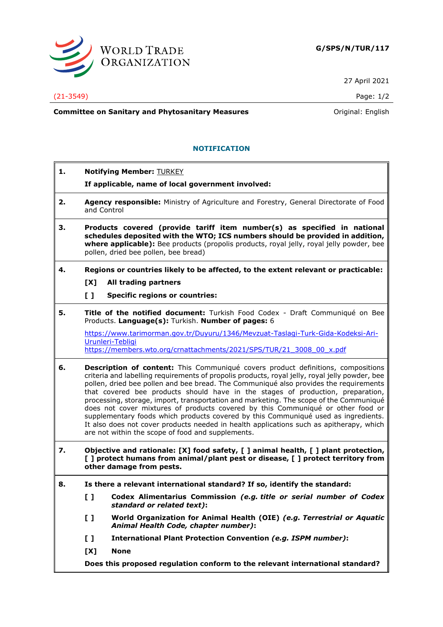

27 April 2021

(21-3549) Page: 1/2

**Committee on Sanitary and Phytosanitary Measures Committee on Sanitary and Phytosanitary Measures Committee And American** 

# **NOTIFICATION**

- **1. Notifying Member:** TURKEY
	- **If applicable, name of local government involved:**
- **2. Agency responsible:** Ministry of Agriculture and Forestry, General Directorate of Food and Control
- **3. Products covered (provide tariff item number(s) as specified in national schedules deposited with the WTO; ICS numbers should be provided in addition, where applicable):** Bee products (propolis products, royal jelly, royal jelly powder, bee pollen, dried bee pollen, bee bread)
- **4. Regions or countries likely to be affected, to the extent relevant or practicable: [X] All trading partners**
	- **[ ] Specific regions or countries:**
- **5. Title of the notified document:** Turkish Food Codex Draft Communiqué on Bee Products. **Language(s):** Turkish. **Number of pages:** 6

[https://www.tarimorman.gov.tr/Duyuru/1346/Mevzuat-Taslagi-Turk-Gida-Kodeksi-Ari-](https://www.tarimorman.gov.tr/Duyuru/1346/Mevzuat-Taslagi-Turk-Gida-Kodeksi-Ari-Urunleri-Tebligi)[Urunleri-Tebligi](https://www.tarimorman.gov.tr/Duyuru/1346/Mevzuat-Taslagi-Turk-Gida-Kodeksi-Ari-Urunleri-Tebligi) [https://members.wto.org/crnattachments/2021/SPS/TUR/21\\_3008\\_00\\_x.pdf](https://members.wto.org/crnattachments/2021/SPS/TUR/21_3008_00_x.pdf)

- **6. Description of content:** This Communiqué covers product definitions, compositions criteria and labelling requirements of propolis products, royal jelly, royal jelly powder, bee pollen, dried bee pollen and bee bread. The Communiqué also provides the requirements that covered bee products should have in the stages of production, preparation, processing, storage, import, transportation and marketing. The scope of the Communiqué does not cover mixtures of products covered by this Communiqué or other food or supplementary foods which products covered by this Communiqué used as ingredients. It also does not cover products needed in health applications such as apitherapy, which are not within the scope of food and supplements.
- **7. Objective and rationale: [X] food safety, [ ] animal health, [ ] plant protection, [ ] protect humans from animal/plant pest or disease, [ ] protect territory from other damage from pests.**
- **8. Is there a relevant international standard? If so, identify the standard:**
	- **[ ] Codex Alimentarius Commission** *(e.g. title or serial number of Codex standard or related text)***:**
	- **[ ] World Organization for Animal Health (OIE)** *(e.g. Terrestrial or Aquatic Animal Health Code, chapter number)***:**
	- **[ ] International Plant Protection Convention** *(e.g. ISPM number)***:**
	- **[X] None**

**Does this proposed regulation conform to the relevant international standard?**